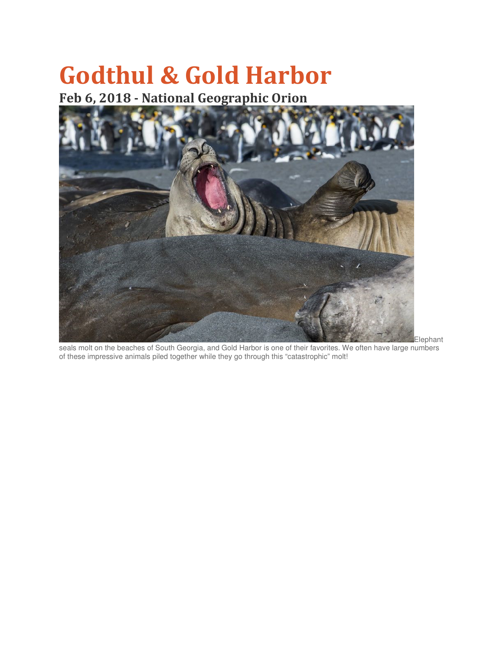## Godthul & Gold Harbor

## Feb 6, 2018 - National Geographic Orion



Elephant seals molt on the beaches of South Georgia, and Gold Harbor is one of their favorites. We often have large numbers of these impressive animals piled together while they go through this "catastrophic" molt!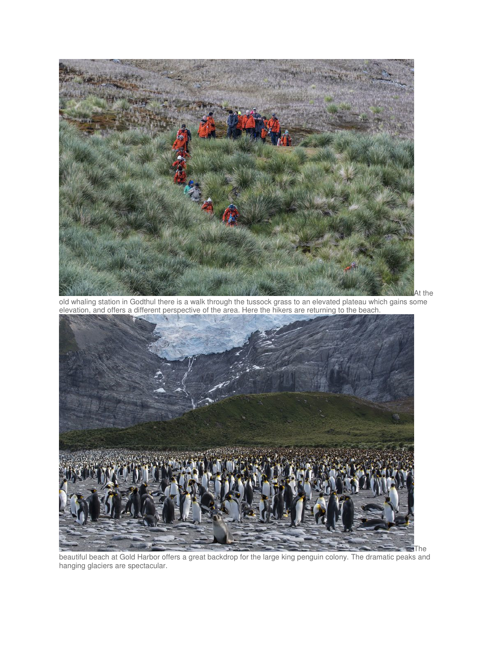

old whaling station in Godthul there is a walk through the tussock grass to an elevated plateau which gains some elevation, and offers a different perspective of the area. Here the hikers are returning to the beach.



beautiful beach at Gold Harbor offers a great backdrop for the large king penguin colony. The dramatic peaks and hanging glaciers are spectacular.